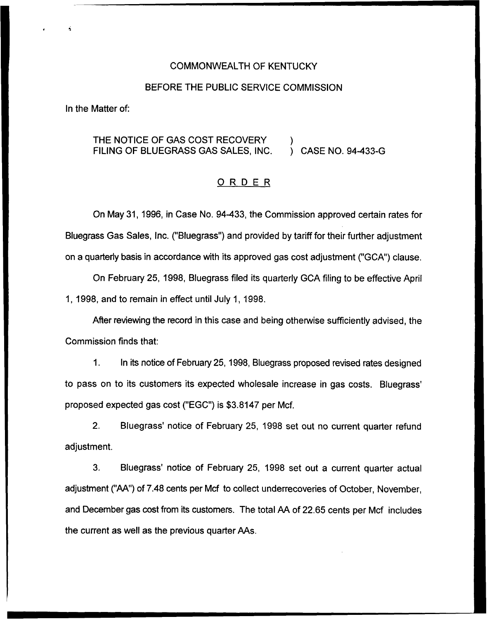### COMMONWEALTH OF KENTUCKY

#### BEFORE THE PUBLIC SERVICE COMMISSION

In the Matter of:

#### THE NOTICE OF GAS COST RECOVERY FILING OF BLUEGRASS GAS SALES, INC. ) ) CASE NO. 94-433-G

### ORDER

On May 31, 1996, in Case No. 94433, the Commission approved certain rates for Bluegrass Gas Sales, Inc. ("Bluegrass") and provided by tariff for their further adjustment on a quarterly basis in accordance with its approved gas cost adjustment ("GCA") clause.

On February 25, 1998, Bluegrass filed its quarterly GCA filing to be effective April 1, 1998, and to remain in effect until July 1, 1998.

After reviewing the record in this case and being otherwise sufficiently advised, the Commission finds that:

 $1.$ In its notice of February 25, 1998, Bluegrass proposed revised rates designed to pass on to its customers its expected wholesale increase in gas costs. proposed expected gas cost ("EGC") is \$3.8147 per Mcf.

2. Bluegrass' notice of February 25, 1998 set out no current quarter refund adjustment.

3. Bluegrass' notice of February 25, 1998 set out a current quarter actual adjustment ("AA"}of 7.48 cents per Mcf to collect underrecoveries of October, November, and December gas cost from its customers. The total AA of 22.65 cents per Mcf includes the current as well as the previous quarter AAs.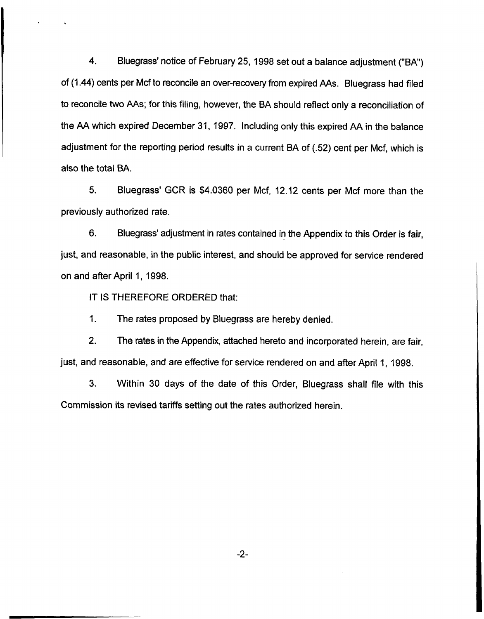4. Bluegrass' notice of February 25, 1998 set out a balance adjustment ("BA") of (1.44) cents per Mcf to reconcile an over-recovery from expired AAs. Bluegrass had filed to reconcile two AAs; for this filing, however, the BA should reflect only a reconciliation of the AA which expired December 31, 1997. Including only this expired AA in the balance adjustment for the reporting period results in a current BA of (.52) cent per Mcf, which is also the total BA.

5. Bluegrass' GCR is \$4.0360 per Mcf, 12.12 cents per Mcf more than the previously authorized rate.

6. Bluegrass' adjustment in rates contained in the Appendix to this Order is fair, just, and reasonable, in the public interest, and should be approved for service rendered on and after April 1, 1998.

IT IS THEREFORE ORDERED that:

1. The rates proposed by Bluegrass are hereby denied.

2. The rates in the Appendix, attached hereto and incorporated herein, are fair, just, and reasonable, and are effective for service rendered on and after April 1, 1998.

3. Within 30 days of the date of this Order, Bluegrass shall file with this Commission its revised tariffs setting out the rates authorized herein.

-2-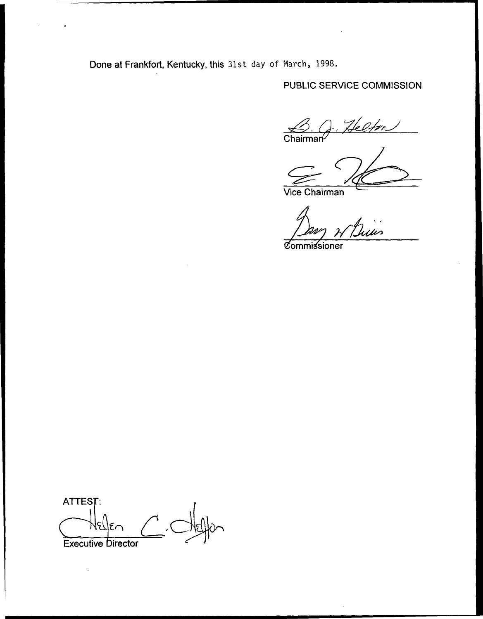Done at Frankfort, Kentucky, this 31st day of March, 1998.

PUBLIC SERVICE COMMISSION

Helfon Chairman<sup>/</sup>  $\mathbf{z}$ 

Vice Chairman

ius

**Commissioner** 

ATTEST: Executive birector

 $\bar{z}$